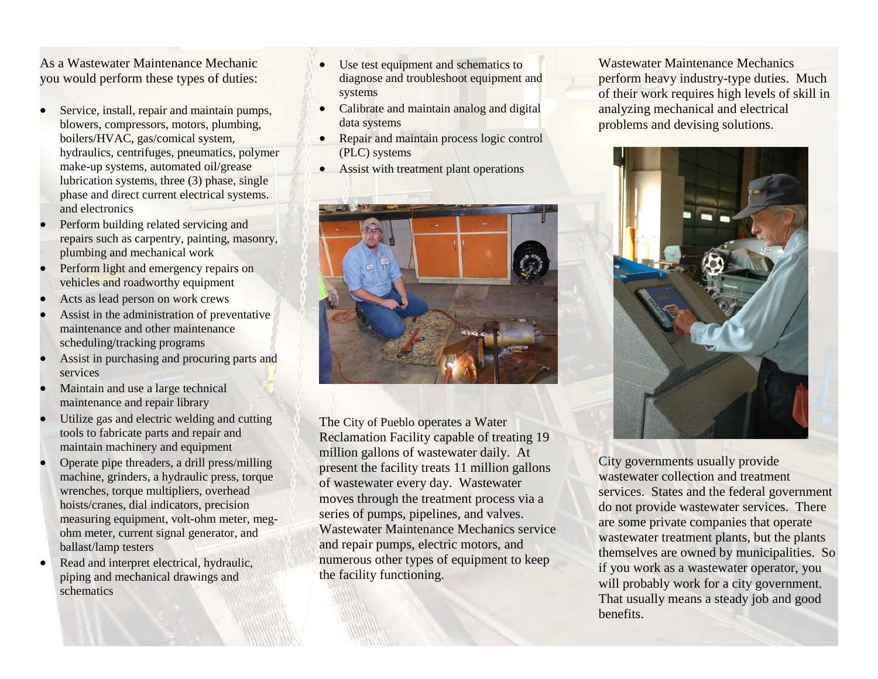As a Wastewater Maintenance Mechanic you would perform these types of duties:

- Service, install, repair and maintain pumps, blowers, compressors, motors, plumbing, boilers/HVAC, gas/comical system, hydraulics, centrifuges, pneumatics, polymer make-up systems, automated oil/grease lubrication systems, three (3) phase, single phase and direct current electrical systems. and electronics
- Perform building related servicing and repairs such as carpentry, painting, masonry, plumbing and mechanical work
- Perform light and emergency repairs on vehicles and roadworthy equipment
- Acts as lead person on work crews
- Assist in the administration of preventative maintenance and other maintenance scheduling/tracking programs
- Assist in purchasing and procuring parts and services
- Maintain and use a large technical maintenance and repair library
- Utilize gas and electric welding and cutting tools to fabricate parts and repair and maintain machinery and equipment
- Operate pipe threaders, a drill press/milling machine, grinders, a hydraulic press, torque wrenches, torque multipliers, overhead hoists/cranes, dial indicators, precision measuring equipment, volt-ohm meter, megohm meter, current signal generator, and ballast/lamp testers
- Read and interpret electrical, hydraulic, piping and mechanical drawings and schematics
- Use test equipment and schematics to diagnose and troubleshoot equipment and systems
- Calibrate and maintain analog and digital data systems
- Repair and maintain process logic control (PLC) systems
- Assist with treatment plant operations



The City of Pueblo operates a Water Reclamation Facility capable of treating 19 million gallons of wastewater daily. At present the facility treats 11 million gallons of wastewater every day. Wastewater moves through the treatment process via a series of pumps, pipelines, and valves. Wastewater Maintenance Mechanics service and repair pumps, electric motors, and numerous other types of equipment to keep the facility functioning.

Wastewater Maintenance Mechanics perform heavy industry-type duties. Much of their work requires high levels of skill in analyzing mechanical and electrical problems and devising solutions.



City governments usually provide wastewater collection and treatment services. States and the federal government do not provide wastewater services. There are some private companies that operate wastewater treatment plants, but the plants themselves are owned by municipalities. So if you work as a wastewater operator, you will probably work for a city government. That usually means a steady job and good benefits.